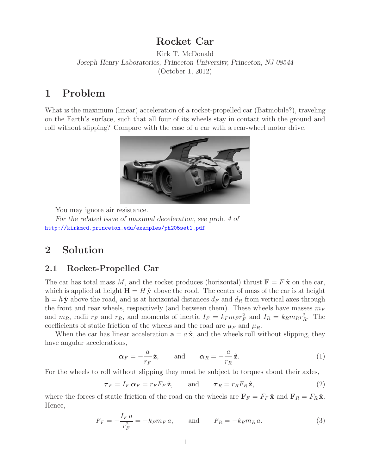## **Rocket Car**

Kirk T. McDonald *Joseph Henry Laboratories, Princeton University, Princeton, NJ 08544* (October 1, 2012)

## **1 Problem**

What is the maximum (linear) acceleration of a rocket-propelled car (Batmobile?), traveling on the Earth's surface, such that all four of its wheels stay in contact with the ground and roll without slipping? Compare with the case of a car with a rear-wheel motor drive.



You may ignore air resistance.

*For the related issue of maximal deceleration, see prob. 4 of* http://kirkmcd.princeton.edu/examples/ph205set1.pdf

# **2 Solution**

#### **2.1 Rocket-Propelled Car**

The car has total mass M, and the rocket produces (horizontal) thrust  $\mathbf{F} = F \hat{\mathbf{x}}$  on the car, which is applied at height  $H = H \hat{y}$  above the road. The center of mass of the car is at height  $h = h \hat{y}$  above the road, and is at horizontal distances  $d_F$  and  $d_R$  from vertical axes through the front and rear wheels, respectively (and between them). These wheels have masses  $m_F$ and  $m_R$ , radii  $r_F$  and  $r_R$ , and moments of inertia  $I_F = k_F m_F r_F^2$  and  $I_R = k_R m_R r_R^2$ . The coefficients of static friction of the wheels and the road are  $\mu_F$  and  $\mu_R$ .

When the car has linear acceleration  $\mathbf{a} = a \hat{\mathbf{x}}$ , and the wheels roll without slipping, they have angular accelerations,

$$
\boldsymbol{\alpha}_F = -\frac{a}{r_F} \hat{\mathbf{z}}, \quad \text{and} \quad \boldsymbol{\alpha}_R = -\frac{a}{r_R} \hat{\mathbf{z}}.
$$
 (1)

For the wheels to roll without slipping they must be subject to torques about their axles,

$$
\boldsymbol{\tau}_F = I_F \,\boldsymbol{\alpha}_F = r_F F_F \,\hat{\mathbf{z}}, \qquad \text{and} \qquad \boldsymbol{\tau}_R = r_R F_R \,\hat{\mathbf{z}}, \tag{2}
$$

where the forces of static friction of the road on the wheels are  $\mathbf{F}_F = F_F \hat{\mathbf{x}}$  and  $\mathbf{F}_R = F_R \hat{\mathbf{x}}$ . Hence,

$$
F_F = -\frac{I_F a}{r_F^2} = -k_F m_F a, \quad \text{and} \quad F_R = -k_R m_R a. \tag{3}
$$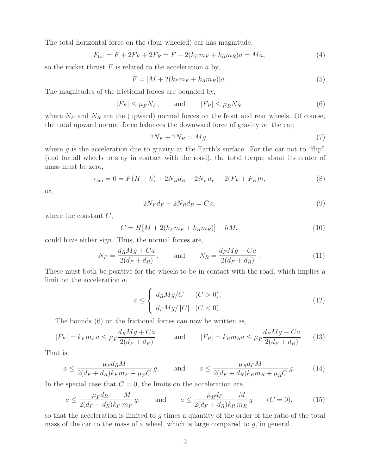The total horizontal force on the (four-wheeled) car has magnitude,

$$
F_{\text{tot}} = F + 2F_F + 2F_R = F - 2(k_F m_F + k_R m_R)a = Ma,
$$
\n(4)

so the rocket thrust  $F$  is related to the acceleration  $a$  by,

$$
F = [M + 2(k_F m_F + k_R m_R)]a.
$$
\n<sup>(5)</sup>

The magnitudes of the frictional forces are bounded by,

$$
|F_F| \le \mu_F N_F, \qquad \text{and} \qquad |F_R| \le \mu_R N_R,\tag{6}
$$

where  $N_F$  and  $N_R$  are the (upward) normal forces on the front and rear wheels. Of course, the total upward normal force balances the downward force of gravity on the car,

$$
2N_F + 2N_R = Mg,\t\t(7)
$$

where  $g$  is the acceleration due to gravity at the Earth's surface. For the car not to "flip" (and for all wheels to stay in contact with the road), the total torque about its center of mass must be zero,

$$
\tau_{\rm cm} = 0 = F(H - h) + 2N_R d_R - 2N_F d_F - 2(F_F + F_R)h,\tag{8}
$$

or,

$$
2N_F d_F - 2N_R d_R = Ca,\t\t(9)
$$

where the constant  $C$ ,

$$
C = H[M + 2(k_F m_F + k_R m_R)] - hM,
$$
\n(10)

could have either sign. Thus, the normal forces are,

$$
N_F = \frac{d_R Mg + Ca}{2(d_F + d_R)}, \quad \text{and} \quad N_R = \frac{d_F Mg - Ca}{2(d_F + d_R)}.
$$
 (11)

These must both be positive for the wheels to be in contact with the road, which implies a limit on the acceleration a,

$$
a \leq \begin{cases} d_R Mg/C & (C > 0), \\ d_F Mg/|C| & (C < 0). \end{cases}
$$
\n(12)

The bounds (6) on the frictional forces can now be written as,

$$
|F_F| = k_F m_F a \le \mu_F \frac{d_R Mg + Ca}{2(d_F + d_R)}, \quad \text{and} \quad |F_R| = k_R m_R a \le \mu_R \frac{d_F Mg - Ca}{2(d_F + d_R)}.
$$
 (13)

That is,

$$
a \le \frac{\mu_F d_R M}{2(d_F + d_R)k_F m_F - \mu_F C} g, \quad \text{and} \quad a \le \frac{\mu_R d_F M}{2(d_F + d_R)k_R m_R + \mu_R C} g. \quad (14)
$$

In the special case that  $C = 0$ , the limits on the acceleration are,

$$
a \le \frac{\mu_F d_R}{2(d_F + d_R)k_F} \frac{M}{m_F} g, \quad \text{and} \quad a \le \frac{\mu_R d_F}{2(d_F + d_R)k_R} \frac{M}{m_R} g \quad (C = 0), \quad (15)
$$

so that the acceleration is limited to  $g$  times a quantity of the order of the ratio of the total mass of the car to the mass of a wheel, which is large compared to g, in general.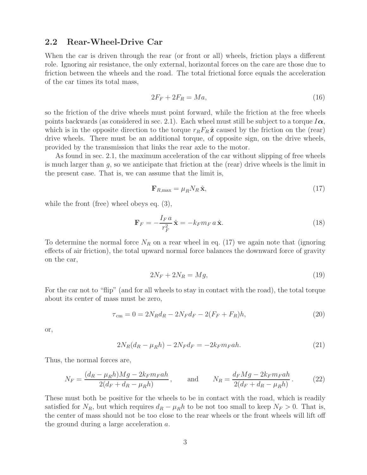#### **2.2 Rear-Wheel-Drive Car**

When the car is driven through the rear (or front or all) wheels, friction plays a different role. Ignoring air resistance, the only external, horizontal forces on the care are those due to friction between the wheels and the road. The total frictional force equals the acceleration of the car times its total mass,

$$
2F_F + 2F_R = Ma,\t\t(16)
$$

so the friction of the drive wheels must point forward, while the friction at the free wheels points backwards (as considered in sec. 2.1). Each wheel must still be subject to a torque  $I\alpha$ , which is in the opposite direction to the torque  $r_R F_R \hat{z}$  caused by the friction on the (rear) drive wheels. There must be an additional torque, of opposite sign, on the drive wheels, provided by the transmission that links the rear axle to the motor.

As found in sec. 2.1, the maximum acceleration of the car without slipping of free wheels is much larger than  $g$ , so we anticipate that friction at the (rear) drive wheels is the limit in the present case. That is, we can assume that the limit is,

$$
\mathbf{F}_{R,\max} = \mu_R N_R \,\hat{\mathbf{x}},\tag{17}
$$

while the front (free) wheel obeys eq.  $(3)$ ,

$$
\mathbf{F}_F = -\frac{I_F a}{r_F^2} \hat{\mathbf{x}} = -k_F m_F a \hat{\mathbf{x}}.
$$
 (18)

To determine the normal force  $N_R$  on a rear wheel in eq. (17) we again note that (ignoring effects of air friction), the total upward normal force balances the downward force of gravity on the car,

$$
2N_F + 2N_R = Mg,\t\t(19)
$$

For the car not to "flip" (and for all wheels to stay in contact with the road), the total torque about its center of mass must be zero,

$$
\tau_{\rm cm} = 0 = 2N_R d_R - 2N_F d_F - 2(F_F + F_R)h,\tag{20}
$$

or,

$$
2N_R(d_R - \mu_R h) - 2N_F d_F = -2k_F m_F a h. \tag{21}
$$

Thus, the normal forces are,

$$
N_F = \frac{(d_R - \mu_R h)Mg - 2k_F m_F a h}{2(d_F + d_R - \mu_R h)}, \quad \text{and} \quad N_R = \frac{d_F Mg - 2k_F m_F a h}{2(d_F + d_R - \mu_R h)}.
$$
 (22)

These must both be positive for the wheels to be in contact with the road, which is readily satisfied for  $N_R$ , but which requires  $d_R - \mu_R h$  to be not too small to keep  $N_F > 0$ . That is, the center of mass should not be too close to the rear wheels or the front wheels will lift off the ground during a large acceleration a.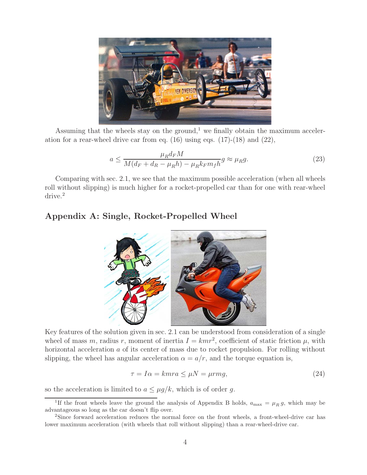

Assuming that the wheels stay on the ground,<sup>1</sup> we finally obtain the maximum acceleration for a rear-wheel drive car from eq.  $(16)$  using eqs.  $(17)-(18)$  and  $(22)$ ,

$$
a \le \frac{\mu_R d_F M}{M(d_F + d_R - \mu_R h) - \mu_R k_F m_f h} g \approx \mu_R g. \tag{23}
$$

Comparing with sec. 2.1, we see that the maximum possible acceleration (when all wheels roll without slipping) is much higher for a rocket-propelled car than for one with rear-wheel drive.<sup>2</sup>

### **Appendix A: Single, Rocket-Propelled Wheel**



Key features of the solution given in sec. 2.1 can be understood from consideration of a single wheel of mass m, radius r, moment of inertia  $I = kmr^2$ , coefficient of static friction  $\mu$ , with horizontal acceleration a of its center of mass due to rocket propulsion. For rolling without slipping, the wheel has angular acceleration  $\alpha = a/r$ , and the torque equation is,

$$
\tau = I\alpha = kmra \le \mu N = \mu rmg,\tag{24}
$$

so the acceleration is limited to  $a \leq \mu g/k$ , which is of order g.

<sup>&</sup>lt;sup>1</sup>If the front wheels leave the ground the analysis of Appendix B holds,  $a_{\text{max}} = \mu_R g$ , which may be advantageous so long as the car doesn't flip over.

<sup>&</sup>lt;sup>2</sup>Since forward acceleration reduces the normal force on the front wheels, a front-wheel-drive car has lower maximum acceleration (with wheels that roll without slipping) than a rear-wheel-drive car.